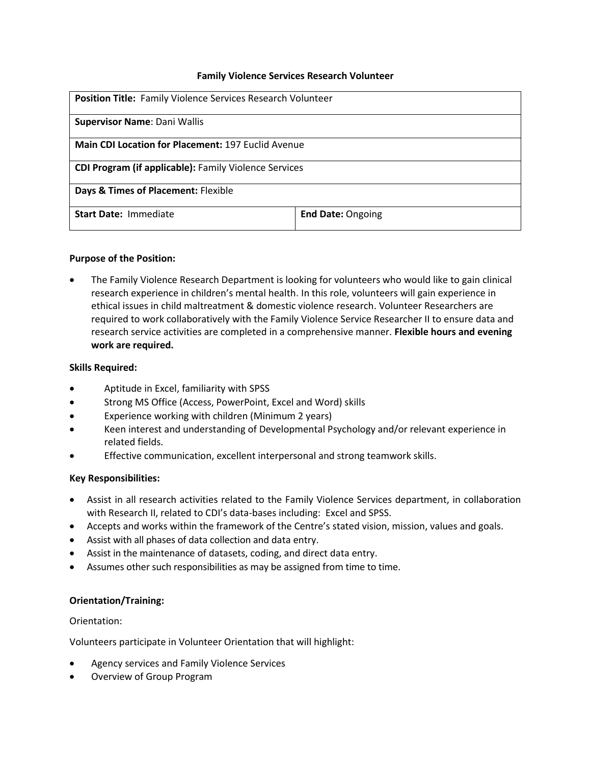#### **Family Violence Services Research Volunteer**

| <b>Position Title: Family Violence Services Research Volunteer</b> |                          |
|--------------------------------------------------------------------|--------------------------|
| <b>Supervisor Name: Dani Wallis</b>                                |                          |
| <b>Main CDI Location for Placement: 197 Euclid Avenue</b>          |                          |
| <b>CDI Program (if applicable): Family Violence Services</b>       |                          |
| Days & Times of Placement: Flexible                                |                          |
| <b>Start Date: Immediate</b>                                       | <b>End Date: Ongoing</b> |

# **Purpose of the Position:**

 The Family Violence Research Department is looking for volunteers who would like to gain clinical research experience in children's mental health**.** In this role, volunteers will gain experience in ethical issues in child maltreatment & domestic violence research. Volunteer Researchers are required to work collaboratively with the Family Violence Service Researcher II to ensure data and research service activities are completed in a comprehensive manner. **Flexible hours and evening work are required.**

#### **Skills Required:**

- Aptitude in Excel, familiarity with SPSS
- **•** Strong MS Office (Access, PowerPoint, Excel and Word) skills
- Experience working with children (Minimum 2 years)
- Keen interest and understanding of Developmental Psychology and/or relevant experience in related fields.
- Effective communication, excellent interpersonal and strong teamwork skills.

# **Key Responsibilities:**

- Assist in all research activities related to the Family Violence Services department, in collaboration with Research II, related to CDI's data-bases including: Excel and SPSS.
- Accepts and works within the framework of the Centre's stated vision, mission, values and goals.
- Assist with all phases of data collection and data entry.
- Assist in the maintenance of datasets, coding, and direct data entry.
- Assumes other such responsibilities as may be assigned from time to time.

# **Orientation/Training:**

# Orientation:

Volunteers participate in Volunteer Orientation that will highlight:

- Agency services and Family Violence Services
- Overview of Group Program